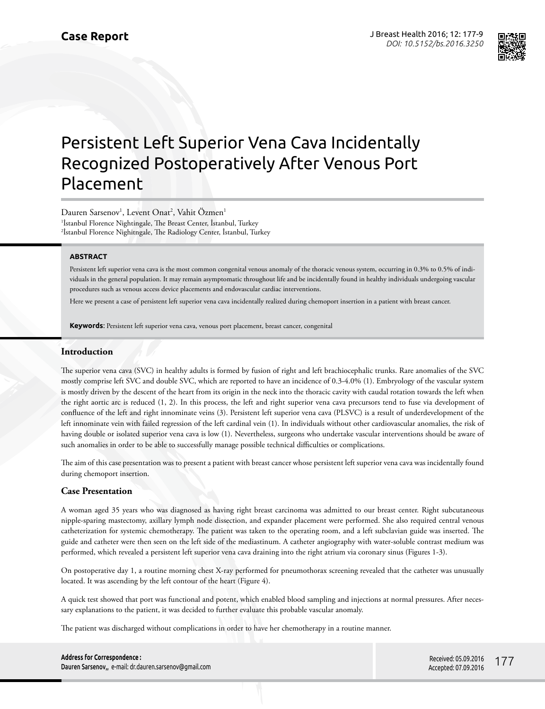

# Persistent Left Superior Vena Cava Incidentally Recognized Postoperatively After Venous Port Placement

Dauren Sarsenov<sup>1</sup>, Levent Onat<sup>2</sup>, Vahit Özmen<sup>1</sup> 1 İstanbul Florence Nightingale, The Breast Center, İstanbul, Turkey <sup>2</sup>İstanbul Florence Nighitngale, The Radiology Center, İstanbul, Turkey

## **ABSTRACT**

Persistent left superior vena cava is the most common congenital venous anomaly of the thoracic venous system, occurring in 0.3% to 0.5% of individuals in the general population. It may remain asymptomatic throughout life and be incidentally found in healthy individuals undergoing vascular procedures such as venous access device placements and endovascular cardiac interventions.

Here we present a case of persistent left superior vena cava incidentally realized during chemoport insertion in a patient with breast cancer.

**Keywords**: Persistent left superior vena cava, venous port placement, breast cancer, congenital

#### **Introduction**

The superior vena cava (SVC) in healthy adults is formed by fusion of right and left brachiocephalic trunks. Rare anomalies of the SVC mostly comprise left SVC and double SVC, which are reported to have an incidence of 0.3-4.0% (1). Embryology of the vascular system is mostly driven by the descent of the heart from its origin in the neck into the thoracic cavity with caudal rotation towards the left when the right aortic arc is reduced (1, 2). In this process, the left and right superior vena cava precursors tend to fuse via development of confluence of the left and right innominate veins (3). Persistent left superior vena cava (PLSVC) is a result of underdevelopment of the left innominate vein with failed regression of the left cardinal vein (1). In individuals without other cardiovascular anomalies, the risk of having double or isolated superior vena cava is low (1). Nevertheless, surgeons who undertake vascular interventions should be aware of such anomalies in order to be able to successfully manage possible technical difficulties or complications.

The aim of this case presentation was to present a patient with breast cancer whose persistent left superior vena cava was incidentally found during chemoport insertion.

#### **Case Presentation**

A woman aged 35 years who was diagnosed as having right breast carcinoma was admitted to our breast center. Right subcutaneous nipple-sparing mastectomy, axillary lymph node dissection, and expander placement were performed. She also required central venous catheterization for systemic chemotherapy. The patient was taken to the operating room, and a left subclavian guide was inserted. The guide and catheter were then seen on the left side of the mediastinum. A catheter angiography with water-soluble contrast medium was performed, which revealed a persistent left superior vena cava draining into the right atrium via coronary sinus (Figures 1-3).

On postoperative day 1, a routine morning chest X-ray performed for pneumothorax screening revealed that the catheter was unusually located. It was ascending by the left contour of the heart (Figure 4).

A quick test showed that port was functional and potent, which enabled blood sampling and injections at normal pressures. After necessary explanations to the patient, it was decided to further evaluate this probable vascular anomaly.

The patient was discharged without complications in order to have her chemotherapy in a routine manner.

| <b>Address for Correspondence:</b> |                                                        |
|------------------------------------|--------------------------------------------------------|
|                                    | Dauren Sarsenov,, e-mail: dr.dauren.sarsenov@gmail.com |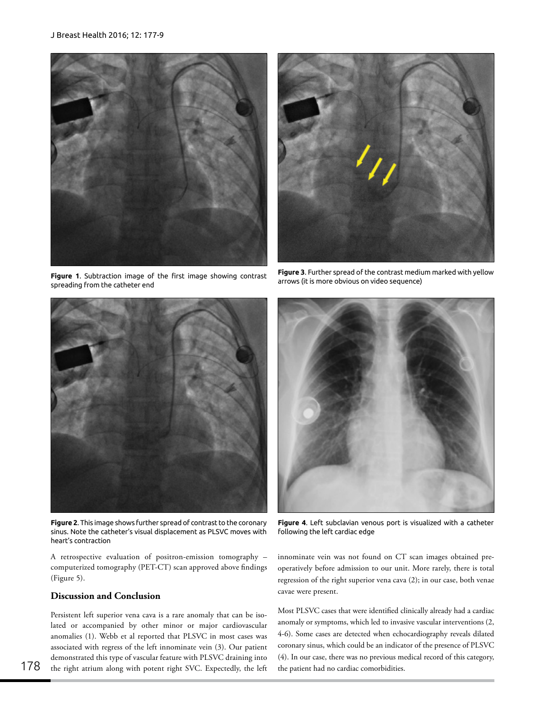

**Figure 1**. Subtraction image of the first image showing contrast spreading from the catheter end



**Figure 2**. This image shows further spread of contrast to the coronary sinus. Note the catheter's visual displacement as PLSVC moves with heart's contraction

A retrospective evaluation of positron-emission tomography – computerized tomography (PET-CT) scan approved above findings (Figure 5).

### **Discussion and Conclusion**

Persistent left superior vena cava is a rare anomaly that can be isolated or accompanied by other minor or major cardiovascular anomalies (1). Webb et al reported that PLSVC in most cases was associated with regress of the left innominate vein (3). Our patient demonstrated this type of vascular feature with PLSVC draining into the right atrium along with potent right SVC. Expectedly, the left



**Figure 3**. Further spread of the contrast medium marked with yellow arrows (it is more obvious on video sequence)



**Figure 4**. Left subclavian venous port is visualized with a catheter following the left cardiac edge

innominate vein was not found on CT scan images obtained preoperatively before admission to our unit. More rarely, there is total regression of the right superior vena cava (2); in our case, both venae cavae were present.

Most PLSVC cases that were identified clinically already had a cardiac anomaly or symptoms, which led to invasive vascular interventions (2, 4-6). Some cases are detected when echocardiography reveals dilated coronary sinus, which could be an indicator of the presence of PLSVC (4). In our case, there was no previous medical record of this category, the patient had no cardiac comorbidities.